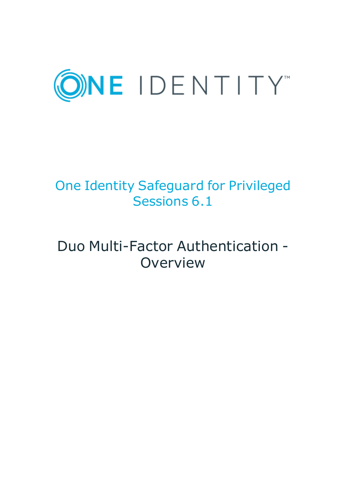

# One Identity Safeguard for Privileged Sessions 6.1

# Duo Multi-Factor Authentication - **Overview**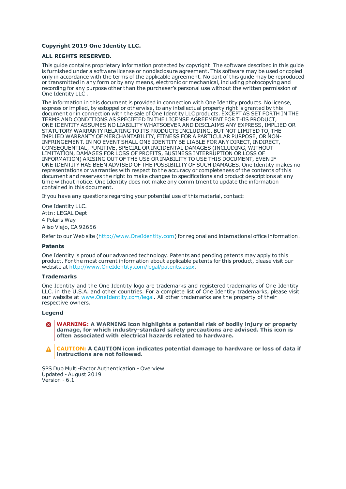#### **Copyright 2019 One Identity LLC.**

#### **ALL RIGHTS RESERVED.**

This guide contains proprietary information protected by copyright. The software described in this guide is furnished under a software license or nondisclosure agreement. This software may be used or copied only in accordance with the terms of the applicable agreement. No part of this guide may be reproduced or transmitted in any form or by any means, electronic or mechanical, including photocopying and recording for any purpose other than the purchaser's personal use without the written permission of One Identity LLC .

The information in this document is provided in connection with One Identity products. No license, express or implied, by estoppel or otherwise, to any intellectual property right is granted by this document or in connection with the sale of One Identity LLC products. EXCEPT AS SET FORTH IN THE TERMS AND CONDITIONS AS SPECIFIED IN THE LICENSE AGREEMENT FOR THIS PRODUCT, ONE IDENTITY ASSUMES NO LIABILITY WHATSOEVER AND DISCLAIMS ANY EXPRESS, IMPLIED OR STATUTORY WARRANTY RELATING TO ITS PRODUCTS INCLUDING, BUT NOT LIMITED TO, THE IMPLIED WARRANTY OF MERCHANTABILITY, FITNESS FOR A PARTICULAR PURPOSE, OR NON-INFRINGEMENT. IN NO EVENT SHALL ONE IDENTITY BE LIABLE FOR ANY DIRECT, INDIRECT, CONSEQUENTIAL, PUNITIVE, SPECIAL OR INCIDENTAL DAMAGES (INCLUDING, WITHOUT LIMITATION, DAMAGES FOR LOSS OF PROFITS, BUSINESS INTERRUPTION OR LOSS OF INFORMATION) ARISING OUT OF THE USE OR INABILITY TO USE THIS DOCUMENT, EVEN IF ONE IDENTITY HAS BEEN ADVISED OF THE POSSIBILITY OF SUCH DAMAGES. One Identity makes no representations or warranties with respect to the accuracy or completeness of the contents of this document and reserves the right to make changes to specifications and product descriptions at any time without notice. One Identity does not make any commitment to update the information contained in this document.

If you have any questions regarding your potential use of this material, contact:

One Identity LLC. Attn: LEGAL Dept 4 Polaris Way Aliso Viejo, CA 92656

Refer to our Web site ([http://www.OneIdentity.com](http://www.oneidentity.com/)) for regional and international office information.

#### **Patents**

One Identity is proud of our advanced technology. Patents and pending patents may apply to this product. For the most current information about applicable patents for this product, please visit our website at [http://www.OneIdentity.com/legal/patents.aspx](http://www.oneidentity.com/legal/patents.aspx).

#### **Trademarks**

One Identity and the One Identity logo are trademarks and registered trademarks of One Identity LLC. in the U.S.A. and other countries. For a complete list of One Identity trademarks, please visit our website at [www.OneIdentity.com/legal](http://www.oneidentity.com/legal). All other trademarks are the property of their respective owners.

#### **Legend**

**WARNING: A WARNING icon highlights a potential risk of bodily injury or property damage, for which industry-standard safety precautions are advised. This icon is often associated with electrical hazards related to hardware.**

**CAUTION: A CAUTION icon indicates potential damage to hardware or loss of data if** A **instructions are not followed.**

SPS Duo Multi-Factor Authentication - Overview Updated - August 2019 Version - 6.1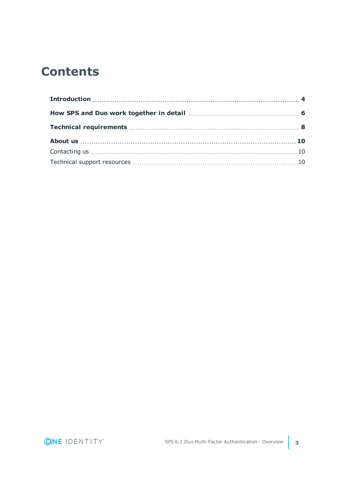## **Contents**

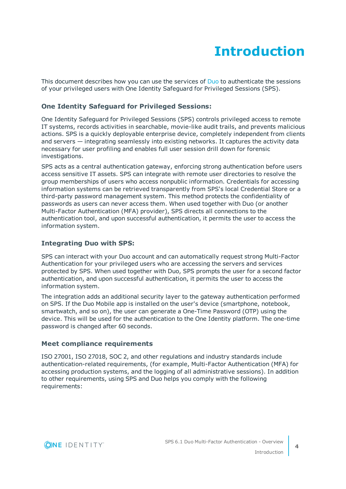# **Introduction**

<span id="page-3-0"></span>This document describes how you can use the services of [Duo](https://duo.com/) to authenticate the sessions of your privileged users with One Identity Safeguard for Privileged Sessions (SPS).

### **One Identity Safeguard for Privileged Sessions:**

One Identity Safeguard for Privileged Sessions (SPS) controls privileged access to remote IT systems, records activities in searchable, movie-like audit trails, and prevents malicious actions. SPS is a quickly deployable enterprise device, completely independent from clients and servers — integrating seamlessly into existing networks. It captures the activity data necessary for user profiling and enables full user session drill down for forensic investigations.

SPS acts as a central authentication gateway, enforcing strong authentication before users access sensitive IT assets. SPS can integrate with remote user directories to resolve the group memberships of users who access nonpublic information. Credentials for accessing information systems can be retrieved transparently from SPS's local Credential Store or a third-party password management system. This method protects the confidentiality of passwords as users can never access them. When used together with Duo (or another Multi-Factor Authentication (MFA) provider), SPS directs all connections to the authentication tool, and upon successful authentication, it permits the user to access the information system.

### **Integrating Duo with SPS:**

SPS can interact with your Duo account and can automatically request strong Multi-Factor Authentication for your privileged users who are accessing the servers and services protected by SPS. When used together with Duo, SPS prompts the user for a second factor authentication, and upon successful authentication, it permits the user to access the information system.

The integration adds an additional security layer to the gateway authentication performed on SPS. If the Duo Mobile app is installed on the user's device (smartphone, notebook, smartwatch, and so on), the user can generate a One-Time Password (OTP) using the device. This will be used for the authentication to the One Identity platform. The one-time password is changed after 60 seconds.

#### **Meet compliance requirements**

ISO 27001, ISO 27018, SOC 2, and other regulations and industry standards include authentication-related requirements, (for example, Multi-Factor Authentication (MFA) for accessing production systems, and the logging of all administrative sessions). In addition to other requirements, using SPS and Duo helps you comply with the following requirements:

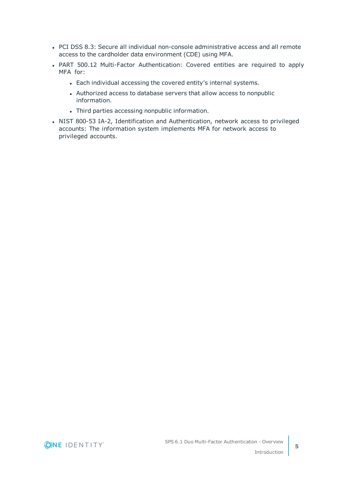- PCI DSS 8.3: Secure all individual non-console administrative access and all remote access to the cardholder data environment (CDE) using MFA.
- PART 500.12 Multi-Factor Authentication: Covered entities are required to apply MFA for:
	- Each individual accessing the covered entity's internal systems.
	- Authorized access to database servers that allow access to nonpublic information.
	- Third parties accessing nonpublic information.
- NIST 800-53 IA-2, Identification and Authentication, network access to privileged accounts: The information system implements MFA for network access to privileged accounts.

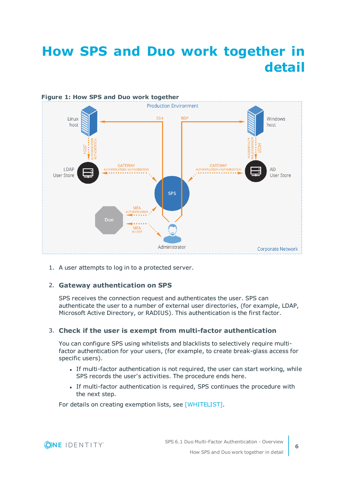# <span id="page-5-0"></span>**How SPS and Duo work together in detail**



1. A user attempts to log in to a protected server.

### 2. **Gateway authentication on SPS**

SPS receives the connection request and authenticates the user. SPS can authenticate the user to a number of external user directories, (for example, LDAP, Microsoft Active Directory, or RADIUS). This authentication is the first factor.

#### 3. **Check if the user is exempt from multi-factor authentication**

You can configure SPS using whitelists and blacklists to selectively require multifactor authentication for your users, (for example, to create break-glass access for specific users).

- If multi-factor authentication is not required, the user can start working, while SPS records the user's activities. The procedure ends here.
- If multi-factor authentication is required, SPS continues the procedure with the next step.

For details on creating exemption lists, see [WHITELIST].

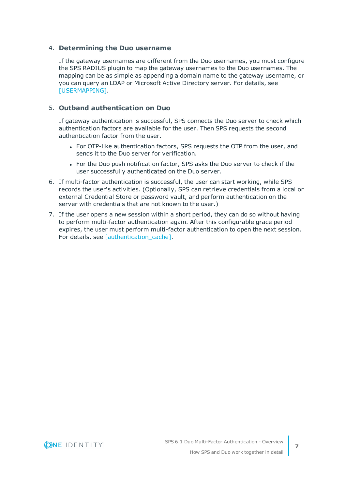#### 4. **Determining the Duo username**

If the gateway usernames are different from the Duo usernames, you must configure the SPS RADIUS plugin to map the gateway usernames to the Duo usernames. The mapping can be as simple as appending a domain name to the gateway username, or you can query an LDAP or Microsoft Active Directory server. For details, see [USERMAPPING].

### 5. **Outband authentication on Duo**

If gateway authentication is successful, SPS connects the Duo server to check which authentication factors are available for the user. Then SPS requests the second authentication factor from the user.

- For OTP-like authentication factors, SPS requests the OTP from the user, and sends it to the Duo server for verification.
- For the Duo push notification factor, SPS asks the Duo server to check if the user successfully authenticated on the Duo server.
- 6. If multi-factor authentication is successful, the user can start working, while SPS records the user's activities. (Optionally, SPS can retrieve credentials from a local or external Credential Store or password vault, and perform authentication on the server with credentials that are not known to the user.)
- 7. If the user opens a new session within a short period, they can do so without having to perform multi-factor authentication again. After this configurable grace period expires, the user must perform multi-factor authentication to open the next session. For details, see [authentication\_cache].

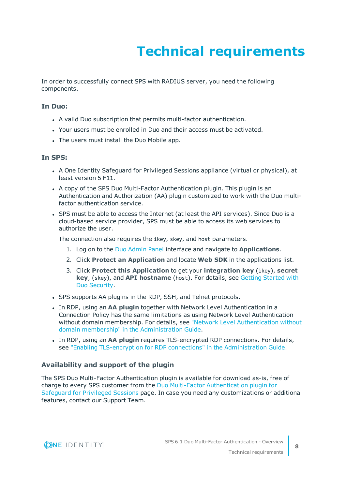# **Technical requirements**

<span id="page-7-0"></span>In order to successfully connect SPS with RADIUS server, you need the following components.

#### **In Duo:**

- A valid Duo subscription that permits multi-factor authentication.
- Your users must be enrolled in Duo and their access must be activated.
- The users must install the Duo Mobile app.

#### **In SPS:**

- A One Identity Safeguard for Privileged Sessions appliance (virtual or physical), at least version 5 F11.
- A copy of the SPS Duo Multi-Factor Authentication plugin. This plugin is an Authentication and Authorization (AA) plugin customized to work with the Duo multifactor authentication service.
- SPS must be able to access the Internet (at least the API services). Since Duo is a cloud-based service provider, SPS must be able to access its web services to authorize the user.

The connection also requires the ikey, skey, and host parameters.

- 1. Log on to the Duo [Admin](https://admin.duosecurity.com/) Panel interface and navigate to **Applications**.
- 2. Click **Protect an Application** and locate **Web SDK** in the applications list.
- 3. Click **Protect this Application** to get your **integration key** (ikey), **secret key**, (skey), and **API hostname** (host). For details, see Getting [Started](https://duo.com/docs/getting_started) with Duo [Security](https://duo.com/docs/getting_started).
- SPS supports AA plugins in the RDP, SSH, and Telnet protocols.
- **.** In RDP, using an AA plugin together with Network Level Authentication in a Connection Policy has the same limitations as using Network Level Authentication without domain membership. For details, see "Network Level [Authentication](https://support.oneidentity.com/technical-documents/safeguard-for-privileged-sessions/6.1.0/administration-guide/rdp-specific-settings/network-level-authentication-nla-with-one-identity-safeguard-for-privileged-sessions-sps/network-level-authentication-without-domain-membership/) without domain membership" in the [Administration](https://support.oneidentity.com/technical-documents/safeguard-for-privileged-sessions/6.1.0/administration-guide/rdp-specific-settings/network-level-authentication-nla-with-one-identity-safeguard-for-privileged-sessions-sps/network-level-authentication-without-domain-membership/) Guide.
- <sup>l</sup> In RDP, using an **AA plugin** requires TLS-encrypted RDP connections. For details, see "Enabling [TLS-encryption](https://support.oneidentity.com/technical-documents/safeguard-for-privileged-sessions/6.1.0/administration-guide/rdp-specific-settings/enabling-tls-encryption-for-rdp-connections/) for RDP connections" in the Administration Guide.

#### **Availability and support of the plugin**

The SPS Duo Multi-Factor Authentication plugin is available for download as-is, free of charge to every SPS customer from the Duo Multi-Factor [Authentication](https://github.com/OneIdentity/safeguard-sessions-plugin-duo-mfa) plugin for [Safeguard](https://github.com/OneIdentity/safeguard-sessions-plugin-duo-mfa) for Privileged Sessions page. In case you need any customizations or additional features, contact our Support Team.

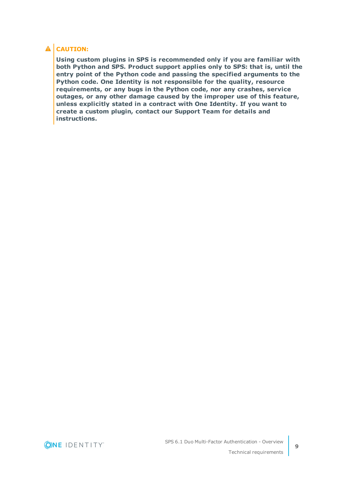### **A** CAUTION:

**Using custom plugins in SPS is recommended only if you are familiar with both Python and SPS. Product support applies only to SPS: that is, until the entry point of the Python code and passing the specified arguments to the Python code. One Identity is not responsible for the quality, resource requirements, or any bugs in the Python code, nor any crashes, service outages, or any other damage caused by the improper use of this feature, unless explicitly stated in a contract with One Identity. If you want to create a custom plugin, contact our Support Team for details and instructions.**